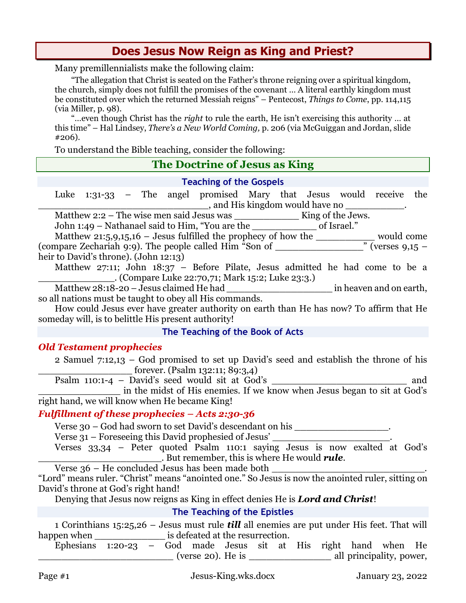# **Does Jesus Now Reign as King and Priest?**

Many premillennialists make the following claim:

"The allegation that Christ is seated on the Father's throne reigning over a spiritual kingdom, the church, simply does not fulfill the promises of the covenant … A literal earthly kingdom must be constituted over which the returned Messiah reigns" – Pentecost, *Things to Come*, pp. 114,115 (via Miller, p. 98).

"…even though Christ has the *right* to rule the earth, He isn't exercising this authority … at this time" – Hal Lindsey, *There's a New World Coming,* p. 206 (via McGuiggan and Jordan, slide #206).

To understand the Bible teaching, consider the following:

# **The Doctrine of Jesus as King**

#### **Teaching of the Gospels**

Luke 1:31-33 – The angel promised Mary that Jesus would receive the  $\frac{1}{\sqrt{2\pi}}$ , and His kingdom would have no

Matthew 2:2 – The wise men said Jesus was \_\_\_\_\_\_\_\_\_\_\_ King of the Jews.

John 1:49 – Nathanael said to Him, "You are the \_\_\_\_\_\_\_\_\_\_\_ of Israel."

Matthew 21:5,9,15,16 – Jesus fulfilled the prophecy of how the \_\_\_\_\_\_\_\_\_\_ would come (compare Zechariah 9:9). The people called Him "Son of \_\_\_\_\_\_\_\_\_\_\_\_\_\_\_" (verses 9,15 – heir to David's throne). (John 12:13)

Matthew 27:11; John 18:37 – Before Pilate, Jesus admitted he had come to be a \_\_\_\_\_\_\_\_\_\_\_\_\_. (Compare Luke 22:70,71; Mark 15:2; Luke 23:3.)

Matthew 28:18-20 – Jesus claimed He had \_\_\_\_\_\_\_\_\_\_\_\_\_\_\_\_\_\_ in heaven and on earth, so all nations must be taught to obey all His commands.

How could Jesus ever have greater authority on earth than He has now? To affirm that He someday will, is to belittle His present authority!

### **The Teaching of the Book of Acts**

### *Old Testament prophecies*

2 Samuel 7:12,13 – God promised to set up David's seed and establish the throne of his forever. (Psalm 132:11; 89:3,4)

Psalm 110:1-4 – David's seed would sit at God's \_\_\_\_\_\_\_\_\_\_\_\_\_\_\_\_\_\_\_\_\_\_\_ and \_\_\_\_\_\_\_\_\_\_\_\_\_\_ in the midst of His enemies. If we know when Jesus began to sit at God's

right hand, we will know when He became King!

### *Fulfillment of these prophecies – Acts 2:30-36*

Verse 30 – God had sworn to set David's descendant on his \_\_\_\_\_\_\_\_\_\_\_\_\_\_\_\_.

Verse 31 – Foreseeing this David prophesied of Jesus' \_\_\_\_\_\_\_\_\_\_\_\_\_\_\_\_\_\_\_\_.

Verses 33,34 – Peter quoted Psalm 110:1 saying Jesus is now exalted at God's \_\_\_\_\_\_\_\_\_\_\_\_\_\_\_\_\_\_\_\_\_. But remember, this is where He would *rule*.

Verse  $36$  – He concluded Jesus has been made both

"Lord" means ruler. "Christ" means "anointed one." So Jesus is now the anointed ruler, sitting on David's throne at God's right hand!

Denying that Jesus now reigns as King in effect denies He is *Lord and Christ*!

## **The Teaching of the Epistles**

1 Corinthians 15:25,26 – Jesus must rule *till* all enemies are put under His feet. That will happen when \_\_\_\_\_\_\_\_\_\_\_\_\_\_\_\_\_\_\_\_ is defeated at the resurrection.

Ephesians 1:20-23 – God made Jesus sit at His right hand when He \_\_\_\_\_\_\_\_\_\_\_\_\_\_\_\_\_\_\_\_\_\_\_ (verse 20). He is \_\_\_\_\_\_\_\_\_\_\_\_\_\_ all principality, power,